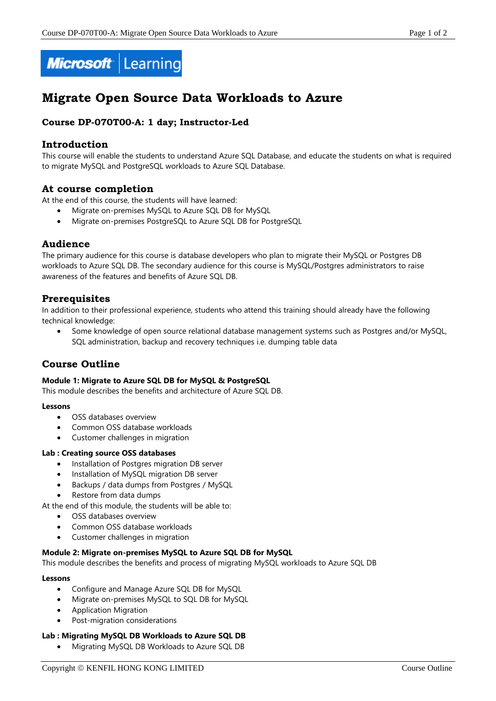



# **Migrate Open Source Data Workloads to Azure**

# **Course DP-070T00-A: 1 day; Instructor-Led**

# **Introduction**

This course will enable the students to understand Azure SQL Database, and educate the students on what is required to migrate MySQL and PostgreSQL workloads to Azure SQL Database.

# **At course completion**

At the end of this course, the students will have learned:

- Migrate on-premises MySQL to Azure SQL DB for MySQL
- Migrate on-premises PostgreSQL to Azure SQL DB for PostgreSQL

# **Audience**

The primary audience for this course is database developers who plan to migrate their MySQL or Postgres DB workloads to Azure SQL DB. The secondary audience for this course is MySQL/Postgres administrators to raise awareness of the features and benefits of Azure SQL DB.

# **Prerequisites**

In addition to their professional experience, students who attend this training should already have the following technical knowledge:

 Some knowledge of open source relational database management systems such as Postgres and/or MySQL, SQL administration, backup and recovery techniques i.e. dumping table data

# **Course Outline**

#### **Module 1: Migrate to Azure SQL DB for MySQL & PostgreSQL**

This module describes the benefits and architecture of Azure SQL DB.

#### **Lessons**

- OSS databases overview
- Common OSS database workloads
- Customer challenges in migration

#### **Lab : Creating source OSS databases**

- Installation of Postgres migration DB server
- Installation of MySQL migration DB server
- Backups / data dumps from Postgres / MySQL
- Restore from data dumps

At the end of this module, the students will be able to:

- OSS databases overview
- Common OSS database workloads
- Customer challenges in migration

### **Module 2: Migrate on-premises MySQL to Azure SQL DB for MySQL**

This module describes the benefits and process of migrating MySQL workloads to Azure SQL DB

#### **Lessons**

- Configure and Manage Azure SQL DB for MySQL
- Migrate on-premises MySQL to SQL DB for MySQL
- Application Migration
- Post-migration considerations

### **Lab : Migrating MySQL DB Workloads to Azure SQL DB**

Migrating MySQL DB Workloads to Azure SQL DB